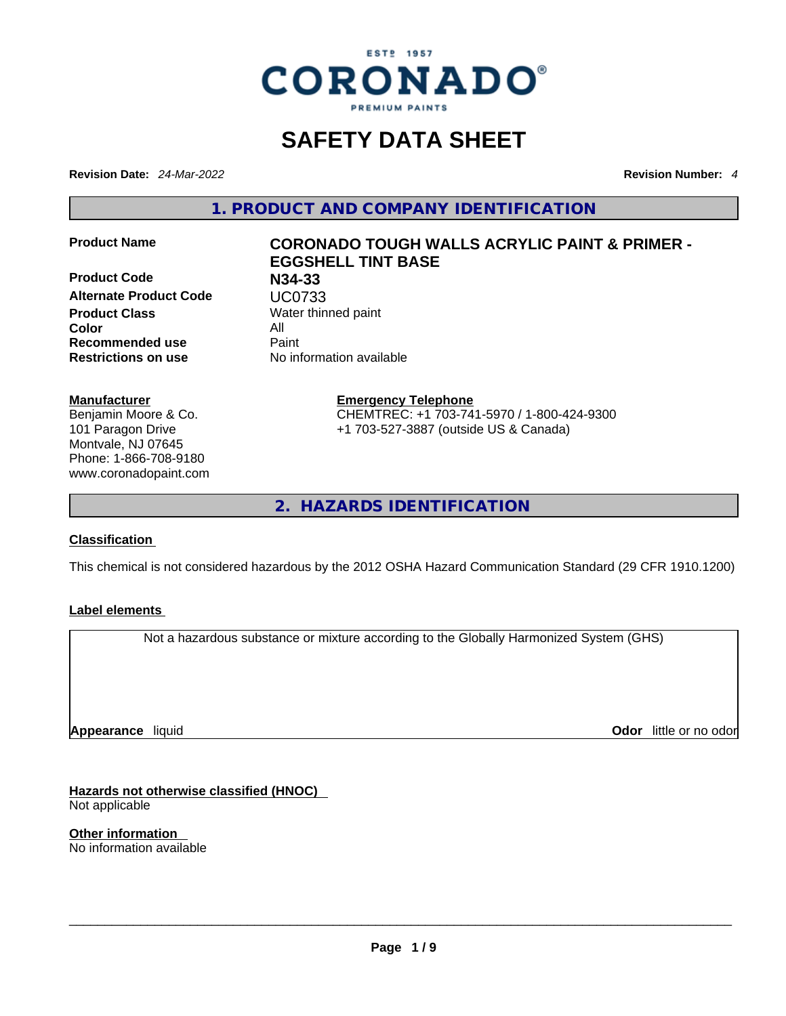

## **SAFETY DATA SHEET**

**Revision Date:** *24-Mar-2022* **Revision Number:** *4*

**1. PRODUCT AND COMPANY IDENTIFICATION** 

**Product Code N34-33 Alternate Product Code UC0733**<br>**Product Class** Water thin **Color** All **Recommended use** Paint **Restrictions on use** No information available

#### **Manufacturer**

Benjamin Moore & Co. 101 Paragon Drive Montvale, NJ 07645 Phone: 1-866-708-9180 www.coronadopaint.com

# **Product Name CORONADO TOUGH WALLS ACRYLIC PAINT & PRIMER - EGGSHELL TINT BASE Water thinned paint**

**Emergency Telephone** CHEMTREC: +1 703-741-5970 / 1-800-424-9300 +1 703-527-3887 (outside US & Canada)

**2. HAZARDS IDENTIFICATION** 

#### **Classification**

This chemical is not considered hazardous by the 2012 OSHA Hazard Communication Standard (29 CFR 1910.1200)

#### **Label elements**

Not a hazardous substance or mixture according to the Globally Harmonized System (GHS)

**Appearance** liquid

**Odor** little or no odor

**Hazards not otherwise classified (HNOC)**  Not applicable

**Other information**  No information available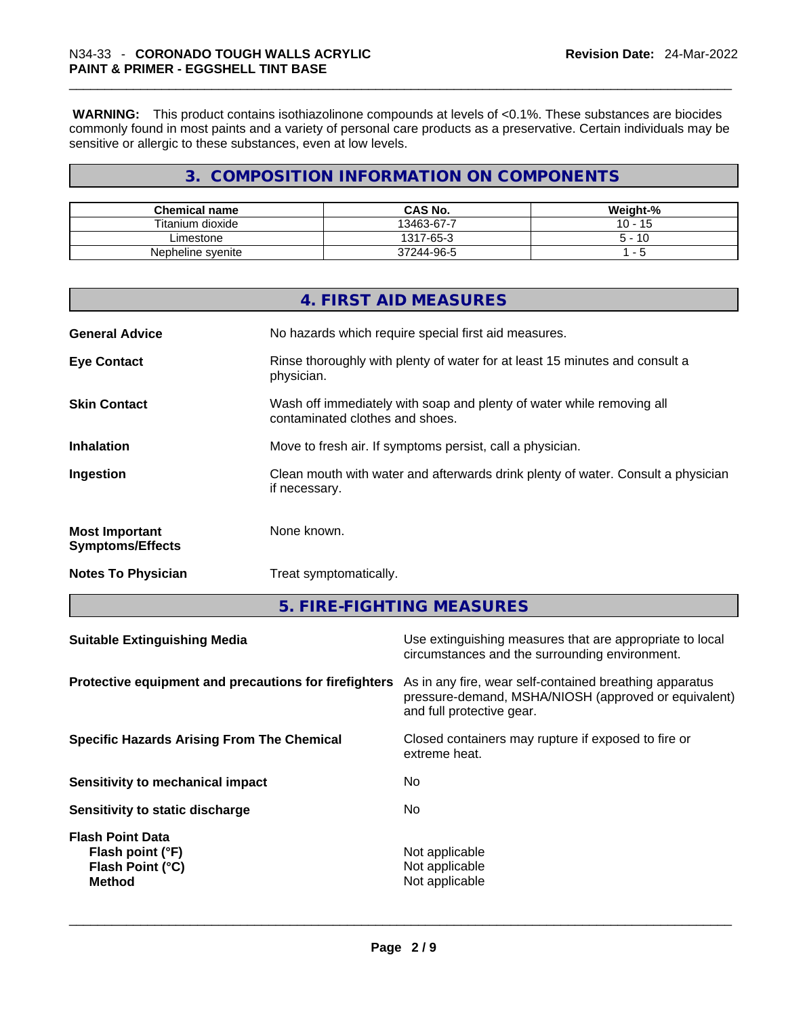**WARNING:** This product contains isothiazolinone compounds at levels of <0.1%. These substances are biocides commonly found in most paints and a variety of personal care products as a preservative. Certain individuals may be sensitive or allergic to these substances, even at low levels.

#### **3. COMPOSITION INFORMATION ON COMPONENTS**

| <b>Chemical name</b> | <b>CAS No.</b> | Weight-%          |
|----------------------|----------------|-------------------|
| Titanium dioxide     | 13463-67-7     | 15<br>10 -        |
| Limestone            | 1317-65-3      | 10<br>Б.<br>. - س |
| Nepheline syenite    | 37244-96-5     |                   |

|                                                  | 4. FIRST AID MEASURES                                                                                    |
|--------------------------------------------------|----------------------------------------------------------------------------------------------------------|
| <b>General Advice</b>                            | No hazards which require special first aid measures.                                                     |
| <b>Eye Contact</b>                               | Rinse thoroughly with plenty of water for at least 15 minutes and consult a<br>physician.                |
| <b>Skin Contact</b>                              | Wash off immediately with soap and plenty of water while removing all<br>contaminated clothes and shoes. |
| <b>Inhalation</b>                                | Move to fresh air. If symptoms persist, call a physician.                                                |
| Ingestion                                        | Clean mouth with water and afterwards drink plenty of water. Consult a physician<br>if necessary.        |
| <b>Most Important</b><br><b>Symptoms/Effects</b> | None known.                                                                                              |
| <b>Notes To Physician</b>                        | Treat symptomatically.                                                                                   |
|                                                  |                                                                                                          |

**5. FIRE-FIGHTING MEASURES** 

| <b>Suitable Extinguishing Media</b>                                              | Use extinguishing measures that are appropriate to local<br>circumstances and the surrounding environment.                                   |
|----------------------------------------------------------------------------------|----------------------------------------------------------------------------------------------------------------------------------------------|
| Protective equipment and precautions for firefighters                            | As in any fire, wear self-contained breathing apparatus<br>pressure-demand, MSHA/NIOSH (approved or equivalent)<br>and full protective gear. |
| <b>Specific Hazards Arising From The Chemical</b>                                | Closed containers may rupture if exposed to fire or<br>extreme heat.                                                                         |
| Sensitivity to mechanical impact                                                 | No.                                                                                                                                          |
| Sensitivity to static discharge                                                  | No.                                                                                                                                          |
| <b>Flash Point Data</b><br>Flash point (°F)<br>Flash Point (°C)<br><b>Method</b> | Not applicable<br>Not applicable<br>Not applicable                                                                                           |
|                                                                                  |                                                                                                                                              |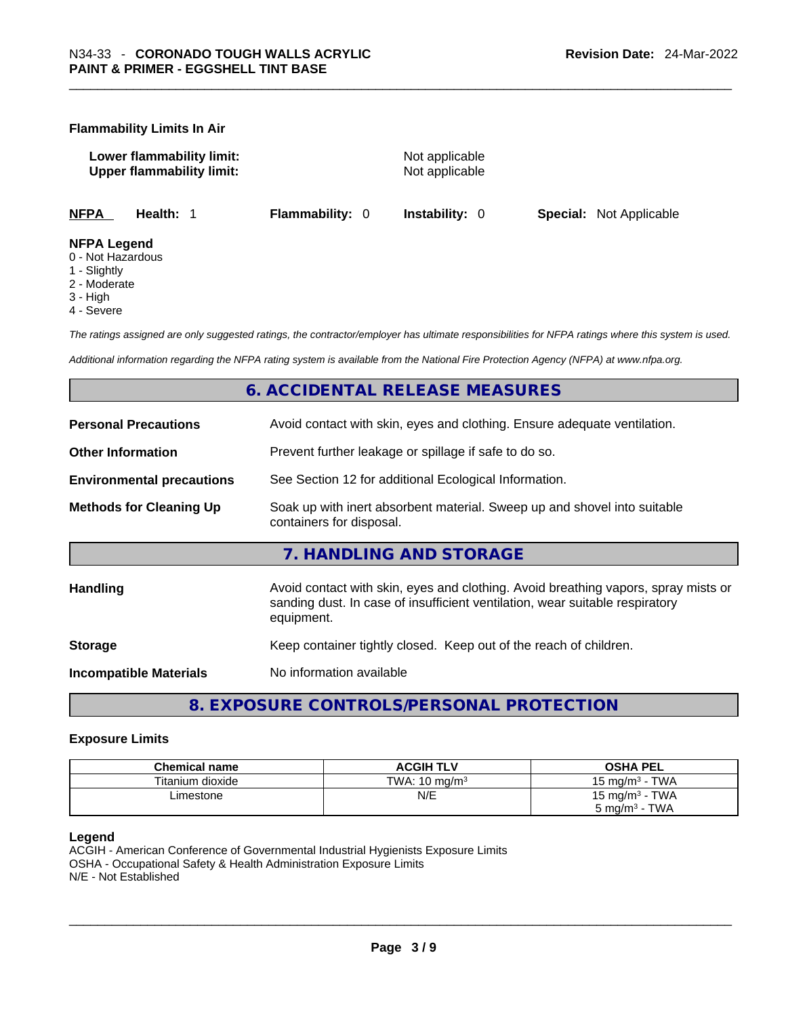#### **Flammability Limits In Air**

**Lower flammability limit:** Not applicable **Upper flammability limit:** Not applicable

**NFPA Health:** 1 **Flammability:** 0 **Instability:** 0 **Special:** Not Applicable

#### **NFPA Legend**

- 0 Not Hazardous
- 1 Slightly
- 2 Moderate
- 3 High
- 4 Severe

*The ratings assigned are only suggested ratings, the contractor/employer has ultimate responsibilities for NFPA ratings where this system is used.* 

*Additional information regarding the NFPA rating system is available from the National Fire Protection Agency (NFPA) at www.nfpa.org.* 

#### **6. ACCIDENTAL RELEASE MEASURES**

| <b>Personal Precautions</b>      | Avoid contact with skin, eyes and clothing. Ensure adequate ventilation.                                                                                                         |  |
|----------------------------------|----------------------------------------------------------------------------------------------------------------------------------------------------------------------------------|--|
| <b>Other Information</b>         | Prevent further leakage or spillage if safe to do so.                                                                                                                            |  |
| <b>Environmental precautions</b> | See Section 12 for additional Ecological Information.                                                                                                                            |  |
| <b>Methods for Cleaning Up</b>   | Soak up with inert absorbent material. Sweep up and shovel into suitable<br>containers for disposal.                                                                             |  |
|                                  | 7. HANDLING AND STORAGE                                                                                                                                                          |  |
| <b>Handling</b>                  | Avoid contact with skin, eyes and clothing. Avoid breathing vapors, spray mists or<br>sanding dust. In case of insufficient ventilation, wear suitable respiratory<br>equipment. |  |
| <b>Storage</b>                   | Keep container tightly closed. Keep out of the reach of children.                                                                                                                |  |
| <b>Incompatible Materials</b>    | No information available                                                                                                                                                         |  |

**8. EXPOSURE CONTROLS/PERSONAL PROTECTION** 

#### **Exposure Limits**

| <b>Chemical name</b> | <b>ACGIH TLV</b>         | <b>OSHA PEL</b>                 |
|----------------------|--------------------------|---------------------------------|
| Titanium dioxide     | TWA: $10 \text{ ma/m}^3$ | <b>TWA</b><br>15 mg/m $3 \cdot$ |
| Limestone            | N/E                      | 15 mg/m $3$ - TWA               |
|                      |                          | <b>TWA</b><br>5 mg/ $m3$        |

#### **Legend**

ACGIH - American Conference of Governmental Industrial Hygienists Exposure Limits OSHA - Occupational Safety & Health Administration Exposure Limits N/E - Not Established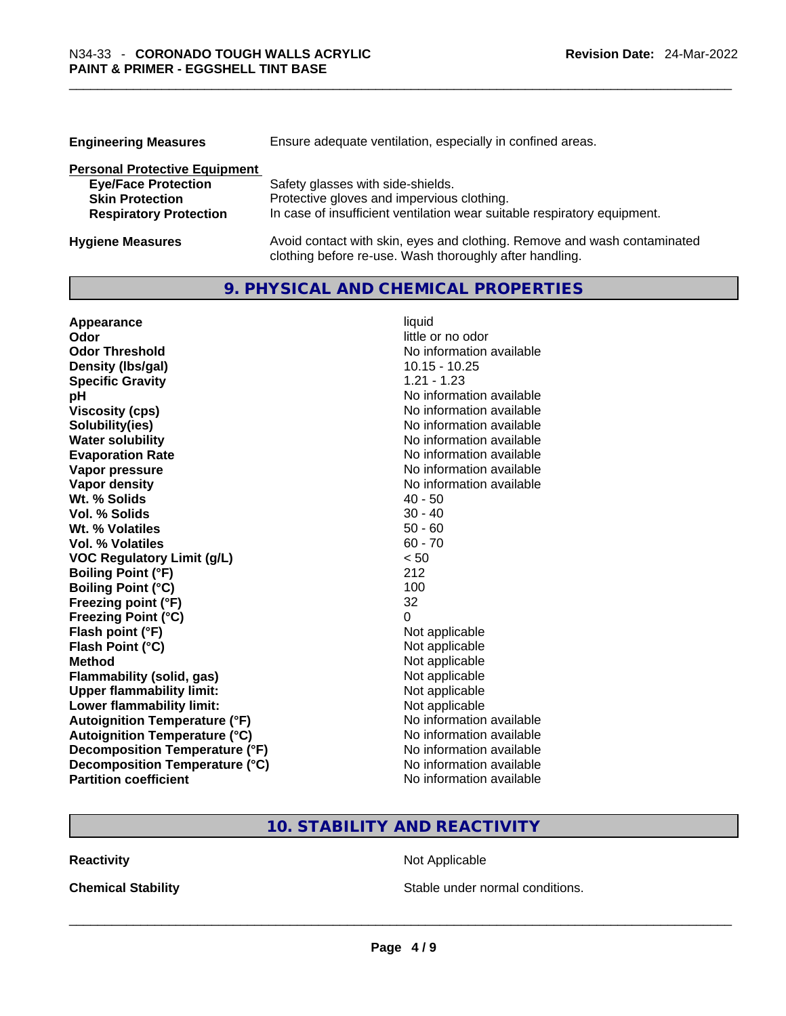| <b>Engineering Measures</b>          | Ensure adequate ventilation, especially in confined areas.                                                                          |  |  |
|--------------------------------------|-------------------------------------------------------------------------------------------------------------------------------------|--|--|
| <b>Personal Protective Equipment</b> |                                                                                                                                     |  |  |
| <b>Eye/Face Protection</b>           | Safety glasses with side-shields.                                                                                                   |  |  |
| <b>Skin Protection</b>               | Protective gloves and impervious clothing.                                                                                          |  |  |
| <b>Respiratory Protection</b>        | In case of insufficient ventilation wear suitable respiratory equipment.                                                            |  |  |
| <b>Hygiene Measures</b>              | Avoid contact with skin, eyes and clothing. Remove and wash contaminated<br>clothing before re-use. Wash thoroughly after handling. |  |  |

**9. PHYSICAL AND CHEMICAL PROPERTIES** 

| Appearance                           | liquid                   |
|--------------------------------------|--------------------------|
| Odor                                 | little or no odor        |
| <b>Odor Threshold</b>                | No information available |
| Density (Ibs/gal)                    | $10.15 - 10.25$          |
| <b>Specific Gravity</b>              | $1.21 - 1.23$            |
| pH                                   | No information available |
| <b>Viscosity (cps)</b>               | No information available |
| Solubility(ies)                      | No information available |
| <b>Water solubility</b>              | No information available |
| <b>Evaporation Rate</b>              | No information available |
| Vapor pressure                       | No information available |
| <b>Vapor density</b>                 | No information available |
| Wt. % Solids                         | $40 - 50$                |
| Vol. % Solids                        | $30 - 40$                |
| Wt. % Volatiles                      | $50 - 60$                |
| Vol. % Volatiles                     | $60 - 70$                |
| <b>VOC Regulatory Limit (g/L)</b>    | < 50                     |
| <b>Boiling Point (°F)</b>            | 212                      |
| <b>Boiling Point (°C)</b>            | 100                      |
| Freezing point (°F)                  | 32                       |
| <b>Freezing Point (°C)</b>           | 0                        |
| Flash point (°F)                     | Not applicable           |
| Flash Point (°C)                     | Not applicable           |
| <b>Method</b>                        | Not applicable           |
| <b>Flammability (solid, gas)</b>     | Not applicable           |
| <b>Upper flammability limit:</b>     | Not applicable           |
| Lower flammability limit:            | Not applicable           |
| <b>Autoignition Temperature (°F)</b> | No information available |
| <b>Autoignition Temperature (°C)</b> | No information available |
| Decomposition Temperature (°F)       | No information available |
| Decomposition Temperature (°C)       | No information available |
| <b>Partition coefficient</b>         | No information available |

#### **10. STABILITY AND REACTIVITY**

**Reactivity Not Applicable Not Applicable** 

**Chemical Stability Stable under normal conditions.** Stable under normal conditions.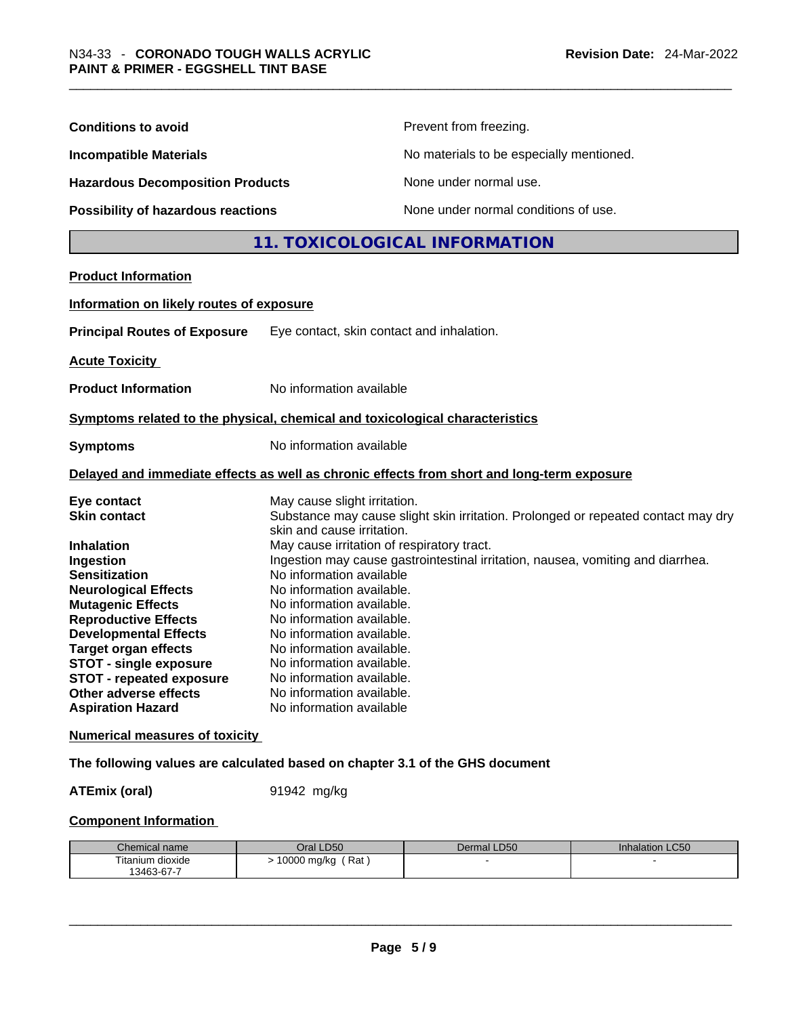| <b>Conditions to avoid</b>                                                                                                                                                                                                                                                                                                                                                     |                                                                                                                                                                                                                                                                                                                                                                                                          | Prevent from freezing.                                                                                                                                               |                 |
|--------------------------------------------------------------------------------------------------------------------------------------------------------------------------------------------------------------------------------------------------------------------------------------------------------------------------------------------------------------------------------|----------------------------------------------------------------------------------------------------------------------------------------------------------------------------------------------------------------------------------------------------------------------------------------------------------------------------------------------------------------------------------------------------------|----------------------------------------------------------------------------------------------------------------------------------------------------------------------|-----------------|
| <b>Incompatible Materials</b>                                                                                                                                                                                                                                                                                                                                                  | No materials to be especially mentioned.                                                                                                                                                                                                                                                                                                                                                                 |                                                                                                                                                                      |                 |
| <b>Hazardous Decomposition Products</b>                                                                                                                                                                                                                                                                                                                                        |                                                                                                                                                                                                                                                                                                                                                                                                          | None under normal use.                                                                                                                                               |                 |
| Possibility of hazardous reactions                                                                                                                                                                                                                                                                                                                                             |                                                                                                                                                                                                                                                                                                                                                                                                          | None under normal conditions of use.                                                                                                                                 |                 |
|                                                                                                                                                                                                                                                                                                                                                                                |                                                                                                                                                                                                                                                                                                                                                                                                          | 11. TOXICOLOGICAL INFORMATION                                                                                                                                        |                 |
| <b>Product Information</b>                                                                                                                                                                                                                                                                                                                                                     |                                                                                                                                                                                                                                                                                                                                                                                                          |                                                                                                                                                                      |                 |
| Information on likely routes of exposure                                                                                                                                                                                                                                                                                                                                       |                                                                                                                                                                                                                                                                                                                                                                                                          |                                                                                                                                                                      |                 |
| <b>Principal Routes of Exposure</b>                                                                                                                                                                                                                                                                                                                                            | Eye contact, skin contact and inhalation.                                                                                                                                                                                                                                                                                                                                                                |                                                                                                                                                                      |                 |
| <b>Acute Toxicity</b>                                                                                                                                                                                                                                                                                                                                                          |                                                                                                                                                                                                                                                                                                                                                                                                          |                                                                                                                                                                      |                 |
| <b>Product Information</b>                                                                                                                                                                                                                                                                                                                                                     | No information available                                                                                                                                                                                                                                                                                                                                                                                 |                                                                                                                                                                      |                 |
| Symptoms related to the physical, chemical and toxicological characteristics                                                                                                                                                                                                                                                                                                   |                                                                                                                                                                                                                                                                                                                                                                                                          |                                                                                                                                                                      |                 |
| <b>Symptoms</b>                                                                                                                                                                                                                                                                                                                                                                |                                                                                                                                                                                                                                                                                                                                                                                                          | No information available                                                                                                                                             |                 |
|                                                                                                                                                                                                                                                                                                                                                                                |                                                                                                                                                                                                                                                                                                                                                                                                          | Delayed and immediate effects as well as chronic effects from short and long-term exposure                                                                           |                 |
| Eye contact<br><b>Skin contact</b><br><b>Inhalation</b><br>Ingestion<br><b>Sensitization</b><br><b>Neurological Effects</b><br><b>Mutagenic Effects</b><br><b>Reproductive Effects</b><br><b>Developmental Effects</b><br><b>Target organ effects</b><br><b>STOT - single exposure</b><br><b>STOT - repeated exposure</b><br>Other adverse effects<br><b>Aspiration Hazard</b> | May cause slight irritation.<br>skin and cause irritation.<br>May cause irritation of respiratory tract.<br>No information available<br>No information available.<br>No information available.<br>No information available.<br>No information available.<br>No information available.<br>No information available.<br>No information available.<br>No information available.<br>No information available | Substance may cause slight skin irritation. Prolonged or repeated contact may dry<br>Ingestion may cause gastrointestinal irritation, nausea, vomiting and diarrhea. |                 |
| <b>Numerical measures of toxicity</b>                                                                                                                                                                                                                                                                                                                                          |                                                                                                                                                                                                                                                                                                                                                                                                          |                                                                                                                                                                      |                 |
| The following values are calculated based on chapter 3.1 of the GHS document                                                                                                                                                                                                                                                                                                   |                                                                                                                                                                                                                                                                                                                                                                                                          |                                                                                                                                                                      |                 |
| <b>ATEmix (oral)</b>                                                                                                                                                                                                                                                                                                                                                           | 91942 mg/kg                                                                                                                                                                                                                                                                                                                                                                                              |                                                                                                                                                                      |                 |
| <b>Component Information</b>                                                                                                                                                                                                                                                                                                                                                   |                                                                                                                                                                                                                                                                                                                                                                                                          |                                                                                                                                                                      |                 |
| Chemical name                                                                                                                                                                                                                                                                                                                                                                  | Oral LD50                                                                                                                                                                                                                                                                                                                                                                                                | Dermal LD50                                                                                                                                                          | Inhalation LC50 |
| Titanium dioxide<br>13463-67-7                                                                                                                                                                                                                                                                                                                                                 | > 10000 mg/kg (Rat)                                                                                                                                                                                                                                                                                                                                                                                      |                                                                                                                                                                      |                 |
|                                                                                                                                                                                                                                                                                                                                                                                |                                                                                                                                                                                                                                                                                                                                                                                                          |                                                                                                                                                                      |                 |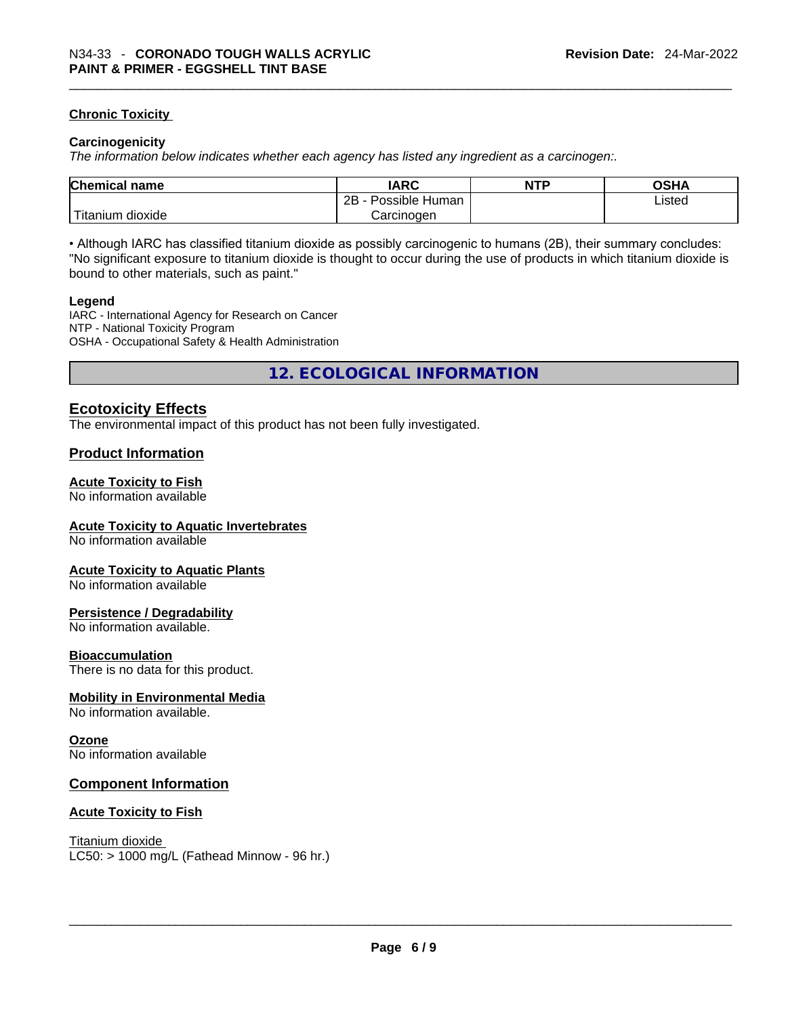#### **Chronic Toxicity**

#### **Carcinogenicity**

*The information below indicates whether each agency has listed any ingredient as a carcinogen:.* 

| <b>Chemical name</b>    | IARC                 | <b>NTP</b> | OSHA   |
|-------------------------|----------------------|------------|--------|
|                         | 2B<br>Possible Human |            | Listed |
| ` Titanium 、<br>dioxide | Carcinoɑen           |            |        |

• Although IARC has classified titanium dioxide as possibly carcinogenic to humans (2B), their summary concludes: "No significant exposure to titanium dioxide is thought to occur during the use of products in which titanium dioxide is bound to other materials, such as paint."

#### **Legend**

IARC - International Agency for Research on Cancer NTP - National Toxicity Program OSHA - Occupational Safety & Health Administration

**12. ECOLOGICAL INFORMATION** 

#### **Ecotoxicity Effects**

The environmental impact of this product has not been fully investigated.

#### **Product Information**

#### **Acute Toxicity to Fish**

No information available

#### **Acute Toxicity to Aquatic Invertebrates**

No information available

#### **Acute Toxicity to Aquatic Plants**

No information available

#### **Persistence / Degradability**

No information available.

#### **Bioaccumulation**

There is no data for this product.

#### **Mobility in Environmental Media**

No information available.

#### **Ozone**

No information available

#### **Component Information**

#### **Acute Toxicity to Fish**

Titanium dioxide  $LC50:$  > 1000 mg/L (Fathead Minnow - 96 hr.)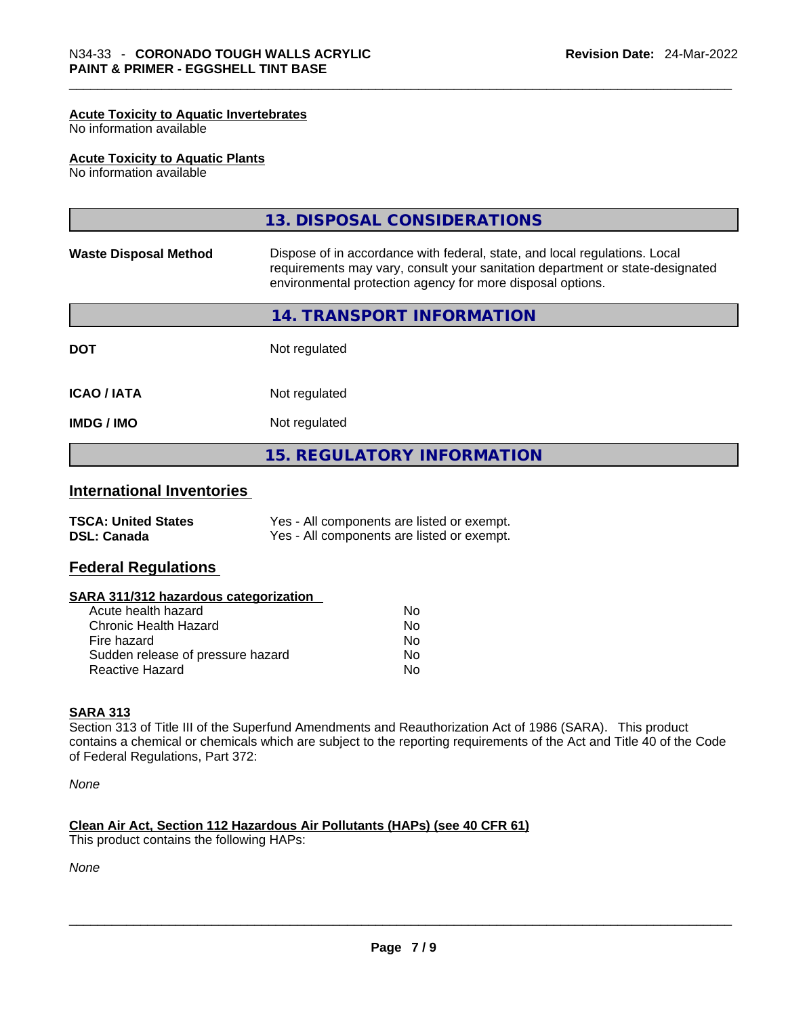#### **Acute Toxicity to Aquatic Invertebrates**

No information available

#### **Acute Toxicity to Aquatic Plants**

No information available

|                                                  | 13. DISPOSAL CONSIDERATIONS                                                                                                                                                                                               |
|--------------------------------------------------|---------------------------------------------------------------------------------------------------------------------------------------------------------------------------------------------------------------------------|
| <b>Waste Disposal Method</b>                     | Dispose of in accordance with federal, state, and local regulations. Local<br>requirements may vary, consult your sanitation department or state-designated<br>environmental protection agency for more disposal options. |
|                                                  | 14. TRANSPORT INFORMATION                                                                                                                                                                                                 |
| <b>DOT</b>                                       | Not regulated                                                                                                                                                                                                             |
| <b>ICAO/IATA</b>                                 | Not regulated                                                                                                                                                                                                             |
| <b>IMDG/IMO</b>                                  | Not regulated                                                                                                                                                                                                             |
|                                                  | <b>15. REGULATORY INFORMATION</b>                                                                                                                                                                                         |
| <b>International Inventories</b>                 |                                                                                                                                                                                                                           |
| <b>TSCA: United States</b><br><b>DSL: Canada</b> | Yes - All components are listed or exempt.<br>Yes - All components are listed or exempt.                                                                                                                                  |

#### **Federal Regulations**

#### **SARA 311/312 hazardous categorization**

| Acute health hazard               | Nο  |  |
|-----------------------------------|-----|--|
| Chronic Health Hazard             | No. |  |
| Fire hazard                       | No. |  |
| Sudden release of pressure hazard | No. |  |
| Reactive Hazard                   | Nο  |  |

#### **SARA 313**

Section 313 of Title III of the Superfund Amendments and Reauthorization Act of 1986 (SARA). This product contains a chemical or chemicals which are subject to the reporting requirements of the Act and Title 40 of the Code of Federal Regulations, Part 372:

*None*

#### **Clean Air Act,Section 112 Hazardous Air Pollutants (HAPs) (see 40 CFR 61)**

This product contains the following HAPs:

*None*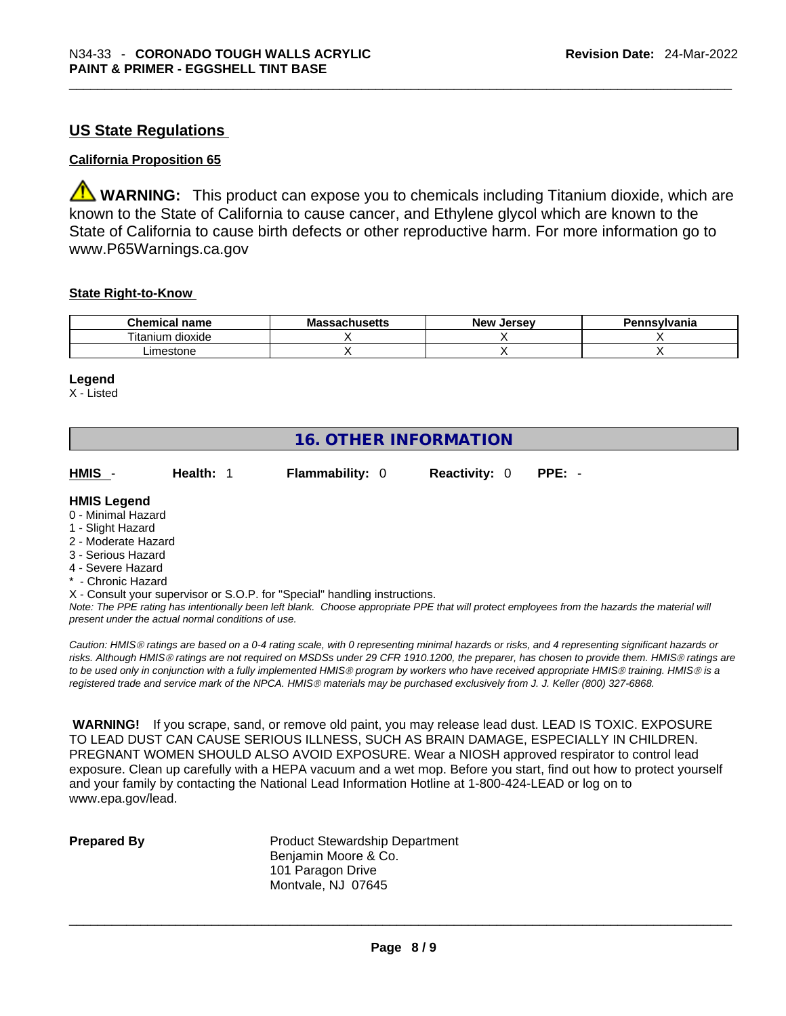#### **US State Regulations**

#### **California Proposition 65**

**WARNING:** This product can expose you to chemicals including Titanium dioxide, which are known to the State of California to cause cancer, and Ethylene glycol which are known to the State of California to cause birth defects or other reproductive harm. For more information go to www.P65Warnings.ca.gov

#### **State Right-to-Know**

| <b>Chemical</b><br>name      | <b>Massachusetts</b> | New<br>Jersev | Pennsylvania |
|------------------------------|----------------------|---------------|--------------|
| <br>--<br>dioxide<br>itanium |                      |               |              |
| imestone                     |                      |               |              |

#### **Legend**

X - Listed

### **16. OTHER INFORMATION**

| HMIS -<br><b>Health: 1</b> | <b>Flammability: 0</b> | <b>Reactivity: 0 PPE: -</b> |  |  |
|----------------------------|------------------------|-----------------------------|--|--|
|----------------------------|------------------------|-----------------------------|--|--|

#### **HMIS Legend**

- 0 Minimal Hazard
- 1 Slight Hazard
- 2 Moderate Hazard
- 3 Serious Hazard
- 4 Severe Hazard
- **Chronic Hazard**
- X Consult your supervisor or S.O.P. for "Special" handling instructions.

Note: The PPE rating has intentionally been left blank. Choose appropriate PPE that will protect employees from the hazards the material will *present under the actual normal conditions of use.* 

*Caution: HMISÒ ratings are based on a 0-4 rating scale, with 0 representing minimal hazards or risks, and 4 representing significant hazards or risks. Although HMISÒ ratings are not required on MSDSs under 29 CFR 1910.1200, the preparer, has chosen to provide them. HMISÒ ratings are to be used only in conjunction with a fully implemented HMISÒ program by workers who have received appropriate HMISÒ training. HMISÒ is a registered trade and service mark of the NPCA. HMISÒ materials may be purchased exclusively from J. J. Keller (800) 327-6868.* 

 **WARNING!** If you scrape, sand, or remove old paint, you may release lead dust. LEAD IS TOXIC. EXPOSURE TO LEAD DUST CAN CAUSE SERIOUS ILLNESS, SUCH AS BRAIN DAMAGE, ESPECIALLY IN CHILDREN. PREGNANT WOMEN SHOULD ALSO AVOID EXPOSURE.Wear a NIOSH approved respirator to control lead exposure. Clean up carefully with a HEPA vacuum and a wet mop. Before you start, find out how to protect yourself and your family by contacting the National Lead Information Hotline at 1-800-424-LEAD or log on to www.epa.gov/lead.

**Prepared By Product Stewardship Department** Benjamin Moore & Co. 101 Paragon Drive Montvale, NJ 07645